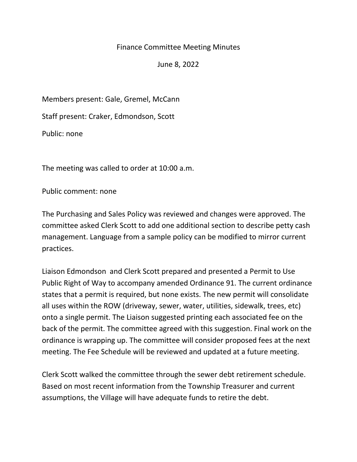## Finance Committee Meeting Minutes

June 8, 2022

Members present: Gale, Gremel, McCann

Staff present: Craker, Edmondson, Scott

Public: none

The meeting was called to order at 10:00 a.m.

Public comment: none

The Purchasing and Sales Policy was reviewed and changes were approved. The committee asked Clerk Scott to add one additional section to describe petty cash management. Language from a sample policy can be modified to mirror current practices.

Liaison Edmondson and Clerk Scott prepared and presented a Permit to Use Public Right of Way to accompany amended Ordinance 91. The current ordinance states that a permit is required, but none exists. The new permit will consolidate all uses within the ROW (driveway, sewer, water, utilities, sidewalk, trees, etc) onto a single permit. The Liaison suggested printing each associated fee on the back of the permit. The committee agreed with this suggestion. Final work on the ordinance is wrapping up. The committee will consider proposed fees at the next meeting. The Fee Schedule will be reviewed and updated at a future meeting.

Clerk Scott walked the committee through the sewer debt retirement schedule. Based on most recent information from the Township Treasurer and current assumptions, the Village will have adequate funds to retire the debt.